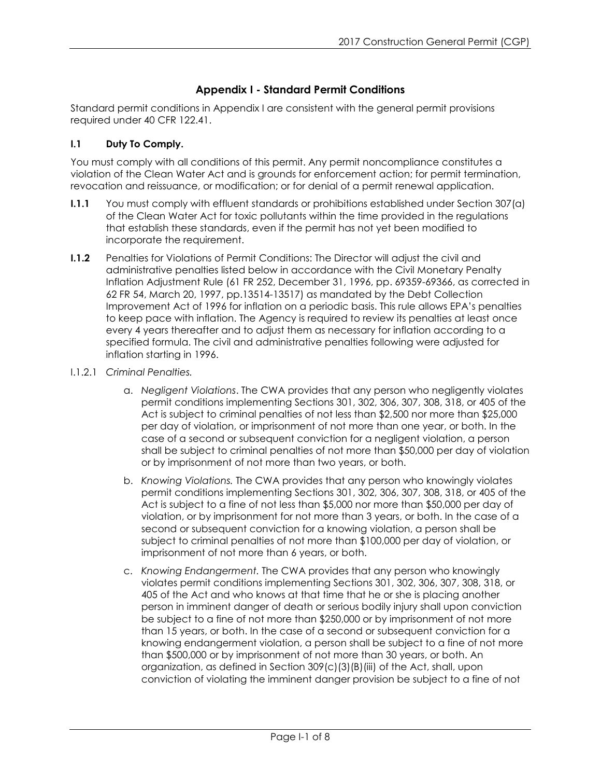# **Appendix I - Standard Permit Conditions**

Standard permit conditions in Appendix I are consistent with the general permit provisions required under 40 CFR 122.41.

## **I.1 Duty To Comply.**

You must comply with all conditions of this permit. Any permit noncompliance constitutes a violation of the Clean Water Act and is grounds for enforcement action; for permit termination, revocation and reissuance, or modification; or for denial of a permit renewal application.

- **I.1.1** You must comply with effluent standards or prohibitions established under Section 307(a) of the Clean Water Act for toxic pollutants within the time provided in the regulations that establish these standards, even if the permit has not yet been modified to incorporate the requirement.
- **I.1.2** Penalties for Violations of Permit Conditions: The Director will adjust the civil and administrative penalties listed below in accordance with the Civil Monetary Penalty Inflation Adjustment Rule (61 FR 252, December 31, 1996, pp. 69359-69366, as corrected in 62 FR 54, March 20, 1997, pp.13514-13517) as mandated by the Debt Collection Improvement Act of 1996 for inflation on a periodic basis. This rule allows EPA's penalties to keep pace with inflation. The Agency is required to review its penalties at least once every 4 years thereafter and to adjust them as necessary for inflation according to a specified formula. The civil and administrative penalties following were adjusted for inflation starting in 1996.
- I.1.2.1 *Criminal Penalties.*
	- a. *Negligent Violations*. The CWA provides that any person who negligently violates permit conditions implementing Sections 301, 302, 306, 307, 308, 318, or 405 of the Act is subject to criminal penalties of not less than \$2,500 nor more than \$25,000 per day of violation, or imprisonment of not more than one year, or both. In the case of a second or subsequent conviction for a negligent violation, a person shall be subject to criminal penalties of not more than \$50,000 per day of violation or by imprisonment of not more than two years, or both.
	- b. *Knowing Violations.* The CWA provides that any person who knowingly violates permit conditions implementing Sections 301, 302, 306, 307, 308, 318, or 405 of the Act is subject to a fine of not less than \$5,000 nor more than \$50,000 per day of violation, or by imprisonment for not more than 3 years, or both. In the case of a second or subsequent conviction for a knowing violation, a person shall be subject to criminal penalties of not more than \$100,000 per day of violation, or imprisonment of not more than 6 years, or both.
	- c. *Knowing Endangerment.* The CWA provides that any person who knowingly violates permit conditions implementing Sections 301, 302, 306, 307, 308, 318, or 405 of the Act and who knows at that time that he or she is placing another person in imminent danger of death or serious bodily injury shall upon conviction be subject to a fine of not more than \$250,000 or by imprisonment of not more than 15 years, or both. In the case of a second or subsequent conviction for a knowing endangerment violation, a person shall be subject to a fine of not more than \$500,000 or by imprisonment of not more than 30 years, or both. An organization, as defined in Section 309(c)(3)(B)(iii) of the Act, shall, upon conviction of violating the imminent danger provision be subject to a fine of not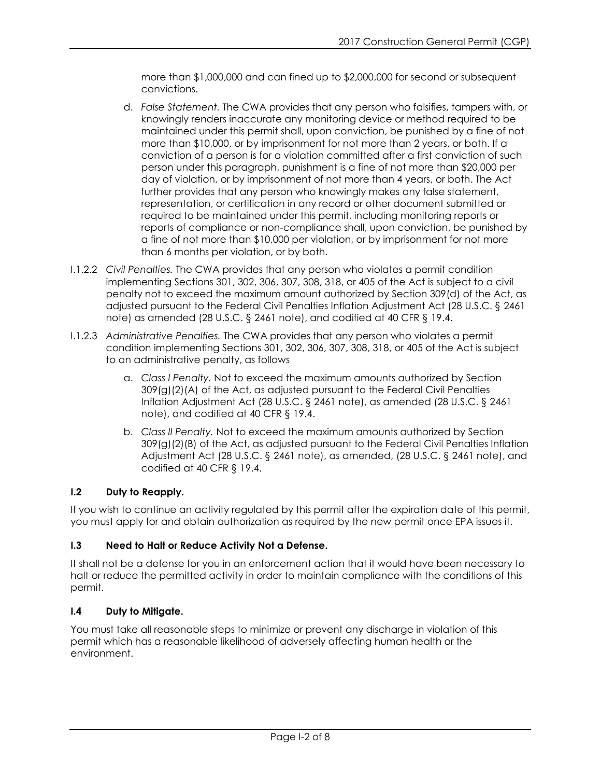more than \$1,000,000 and can fined up to \$2,000,000 for second or subsequent convictions.

- d. *False Statement.* The CWA provides that any person who falsifies, tampers with, or knowingly renders inaccurate any monitoring device or method required to be maintained under this permit shall, upon conviction, be punished by a fine of not more than \$10,000, or by imprisonment for not more than 2 years, or both. If a conviction of a person is for a violation committed after a first conviction of such person under this paragraph, punishment is a fine of not more than \$20,000 per day of violation, or by imprisonment of not more than 4 years, or both. The Act further provides that any person who knowingly makes any false statement, representation, or certification in any record or other document submitted or required to be maintained under this permit, including monitoring reports or reports of compliance or non-compliance shall, upon conviction, be punished by a fine of not more than \$10,000 per violation, or by imprisonment for not more than 6 months per violation, or by both.
- I.1.2.2 *Civil Penalties.* The CWA provides that any person who violates a permit condition implementing Sections 301, 302, 306, 307, 308, 318, or 405 of the Act is subject to a civil penalty not to exceed the maximum amount authorized by Section 309(d) of the Act, as adjusted pursuant to the Federal Civil Penalties Inflation Adjustment Act (28 U.S.C. § 2461 note) as amended (28 U.S.C. § 2461 note), and codified at 40 CFR § 19.4.
- I.1.2.3 *Administrative Penalties.* The CWA provides that any person who violates a permit condition implementing Sections 301, 302, 306, 307, 308, 318, or 405 of the Act is subject to an administrative penalty, as follows
	- a. *Class I Penalty.* Not to exceed the maximum amounts authorized by Section 309(g)(2)(A) of the Act, as adjusted pursuant to the Federal Civil Penalties Inflation Adjustment Act (28 U.S.C. § 2461 note), as amended (28 U.S.C. § 2461 note), and codified at 40 CFR § 19.4.
	- b. *Class II Penalty.* Not to exceed the maximum amounts authorized by Section 309(g)(2)(B) of the Act, as adjusted pursuant to the Federal Civil Penalties Inflation Adjustment Act (28 U.S.C. § 2461 note), as amended, (28 U.S.C. § 2461 note), and codified at 40 CFR § 19.4.

# **I.2 Duty to Reapply.**

If you wish to continue an activity regulated by this permit after the expiration date of this permit, you must apply for and obtain authorization as required by the new permit once EPA issues it.

# **I.3 Need to Halt or Reduce Activity Not a Defense.**

It shall not be a defense for you in an enforcement action that it would have been necessary to halt or reduce the permitted activity in order to maintain compliance with the conditions of this permit.

### **I.4 Duty to Mitigate.**

You must take all reasonable steps to minimize or prevent any discharge in violation of this permit which has a reasonable likelihood of adversely affecting human health or the environment.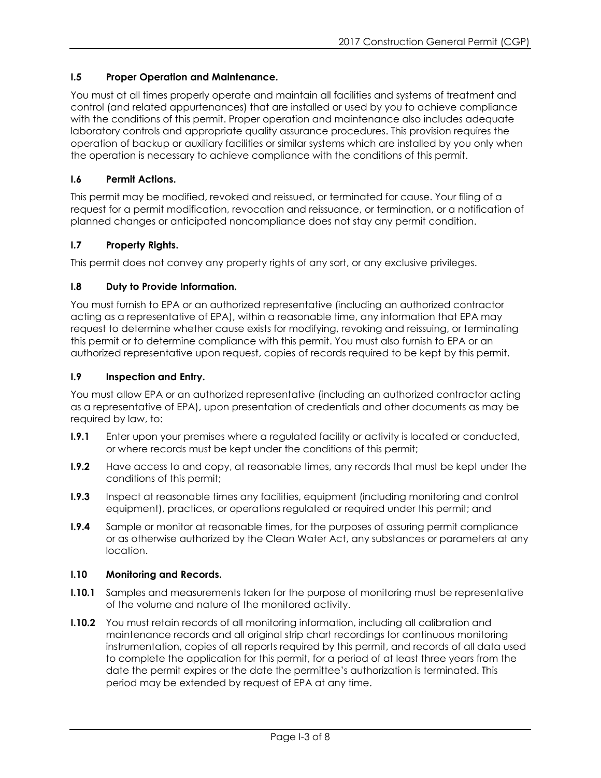## **I.5 Proper Operation and Maintenance.**

You must at all times properly operate and maintain all facilities and systems of treatment and control (and related appurtenances) that are installed or used by you to achieve compliance with the conditions of this permit. Proper operation and maintenance also includes adequate laboratory controls and appropriate quality assurance procedures. This provision requires the operation of backup or auxiliary facilities or similar systems which are installed by you only when the operation is necessary to achieve compliance with the conditions of this permit.

## **I.6 Permit Actions.**

This permit may be modified, revoked and reissued, or terminated for cause. Your filing of a request for a permit modification, revocation and reissuance, or termination, or a notification of planned changes or anticipated noncompliance does not stay any permit condition.

## **I.7 Property Rights.**

This permit does not convey any property rights of any sort, or any exclusive privileges.

## **I.8 Duty to Provide Information.**

You must furnish to EPA or an authorized representative (including an authorized contractor acting as a representative of EPA), within a reasonable time, any information that EPA may request to determine whether cause exists for modifying, revoking and reissuing, or terminating this permit or to determine compliance with this permit. You must also furnish to EPA or an authorized representative upon request, copies of records required to be kept by this permit.

### **I.9 Inspection and Entry.**

You must allow EPA or an authorized representative (including an authorized contractor acting as a representative of EPA), upon presentation of credentials and other documents as may be required by law, to:

- **I.9.1** Enter upon your premises where a regulated facility or activity is located or conducted, or where records must be kept under the conditions of this permit;
- **I.9.2** Have access to and copy, at reasonable times, any records that must be kept under the conditions of this permit;
- **I.9.3** Inspect at reasonable times any facilities, equipment (including monitoring and control equipment), practices, or operations regulated or required under this permit; and
- **I.9.4** Sample or monitor at reasonable times, for the purposes of assuring permit compliance or as otherwise authorized by the Clean Water Act, any substances or parameters at any location.

### **I.10 Monitoring and Records.**

- **I.10.1** Samples and measurements taken for the purpose of monitoring must be representative of the volume and nature of the monitored activity.
- **I.10.2** You must retain records of all monitoring information, including all calibration and maintenance records and all original strip chart recordings for continuous monitoring instrumentation, copies of all reports required by this permit, and records of all data used to complete the application for this permit, for a period of at least three years from the date the permit expires or the date the permittee's authorization is terminated. This period may be extended by request of EPA at any time.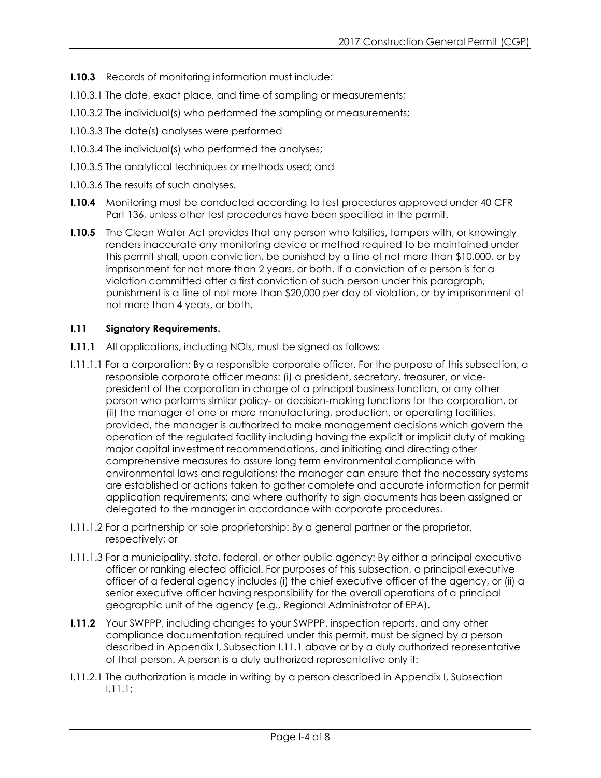- **I.10.3** Records of monitoring information must include:
- I.10.3.1 The date, exact place, and time of sampling or measurements;
- I.10.3.2 The individual(s) who performed the sampling or measurements;
- I.10.3.3 The date(s) analyses were performed
- I.10.3.4 The individual(s) who performed the analyses;
- I.10.3.5 The analytical techniques or methods used; and
- I.10.3.6 The results of such analyses.
- **I.10.4** Monitoring must be conducted according to test procedures approved under 40 CFR Part 136, unless other test procedures have been specified in the permit.
- **I.10.5** The Clean Water Act provides that any person who falsifies, tampers with, or knowingly renders inaccurate any monitoring device or method required to be maintained under this permit shall, upon conviction, be punished by a fine of not more than \$10,000, or by imprisonment for not more than 2 years, or both. If a conviction of a person is for a violation committed after a first conviction of such person under this paragraph, punishment is a fine of not more than \$20,000 per day of violation, or by imprisonment of not more than 4 years, or both.

### **I.11 Signatory Requirements.**

- **I.11.1** All applications, including NOIs, must be signed as follows:
- I.11.1.1 For a corporation: By a responsible corporate officer. For the purpose of this subsection, a responsible corporate officer means: (i) a president, secretary, treasurer, or vicepresident of the corporation in charge of a principal business function, or any other person who performs similar policy- or decision-making functions for the corporation, or (ii) the manager of one or more manufacturing, production, or operating facilities, provided, the manager is authorized to make management decisions which govern the operation of the regulated facility including having the explicit or implicit duty of making major capital investment recommendations, and initiating and directing other comprehensive measures to assure long term environmental compliance with environmental laws and regulations; the manager can ensure that the necessary systems are established or actions taken to gather complete and accurate information for permit application requirements; and where authority to sign documents has been assigned or delegated to the manager in accordance with corporate procedures.
- I.11.1.2 For a partnership or sole proprietorship: By a general partner or the proprietor, respectively; or
- I.11.1.3 For a municipality, state, federal, or other public agency: By either a principal executive officer or ranking elected official. For purposes of this subsection, a principal executive officer of a federal agency includes (i) the chief executive officer of the agency, or (ii) a senior executive officer having responsibility for the overall operations of a principal geographic unit of the agency (e.g., Regional Administrator of EPA).
- **I.11.2** Your SWPPP, including changes to your SWPPP, inspection reports, and any other compliance documentation required under this permit, must be signed by a person described in Appendix I, Subsection I.11.1 above or by a duly authorized representative of that person. A person is a duly authorized representative only if:
- I.11.2.1 The authorization is made in writing by a person described in Appendix I, Subsection I.11.1;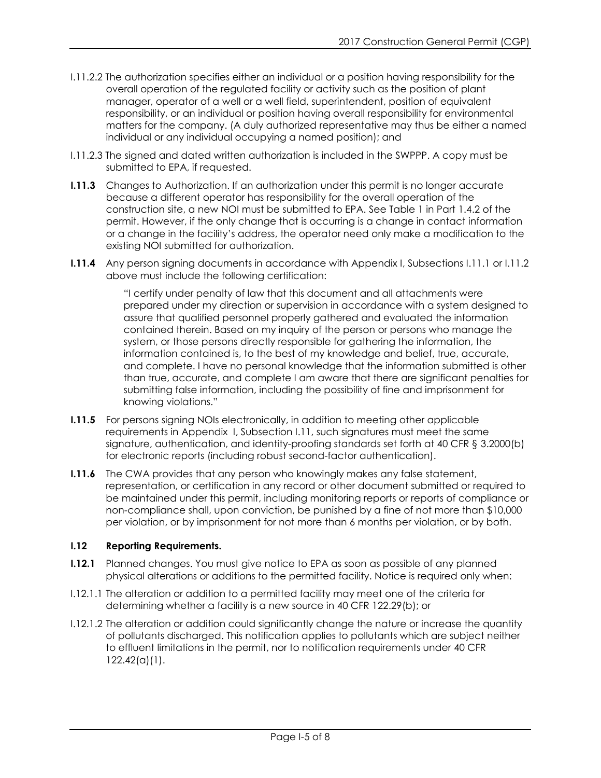- I.11.2.2 The authorization specifies either an individual or a position having responsibility for the overall operation of the regulated facility or activity such as the position of plant manager, operator of a well or a well field, superintendent, position of equivalent responsibility, or an individual or position having overall responsibility for environmental matters for the company. (A duly authorized representative may thus be either a named individual or any individual occupying a named position); and
- I.11.2.3 The signed and dated written authorization is included in the SWPPP. A copy must be submitted to EPA, if requested.
- **I.11.3** Changes to Authorization. If an authorization under this permit is no longer accurate because a different operator has responsibility for the overall operation of the construction site, a new NOI must be submitted to EPA. See Table 1 in Part 1.4.2 of the permit. However, if the only change that is occurring is a change in contact information or a change in the facility's address, the operator need only make a modification to the existing NOI submitted for authorization.
- **I.11.4** Any person signing documents in accordance with Appendix I, Subsections I.11.1 or I.11.2 above must include the following certification:

"I certify under penalty of law that this document and all attachments were prepared under my direction or supervision in accordance with a system designed to assure that qualified personnel properly gathered and evaluated the information contained therein. Based on my inquiry of the person or persons who manage the system, or those persons directly responsible for gathering the information, the information contained is, to the best of my knowledge and belief, true, accurate, and complete. I have no personal knowledge that the information submitted is other than true, accurate, and complete I am aware that there are significant penalties for submitting false information, including the possibility of fine and imprisonment for knowing violations."

- **I.11.5** For persons signing NOIs electronically, in addition to meeting other applicable requirements in Appendix I, Subsection I.11, such signatures must meet the same signature, authentication, and identity-proofing standards set forth at 40 CFR § 3.2000(b) for electronic reports (including robust second-factor authentication).
- **I.11.6** The CWA provides that any person who knowingly makes any false statement, representation, or certification in any record or other document submitted or required to be maintained under this permit, including monitoring reports or reports of compliance or non-compliance shall, upon conviction, be punished by a fine of not more than \$10,000 per violation, or by imprisonment for not more than 6 months per violation, or by both.

#### **I.12 Reporting Requirements.**

- **I.12.1** Planned changes. You must give notice to EPA as soon as possible of any planned physical alterations or additions to the permitted facility. Notice is required only when:
- I.12.1.1 The alteration or addition to a permitted facility may meet one of the criteria for determining whether a facility is a new source in 40 CFR 122.29(b); or
- I.12.1.2 The alteration or addition could significantly change the nature or increase the quantity of pollutants discharged. This notification applies to pollutants which are subject neither to effluent limitations in the permit, nor to notification requirements under 40 CFR 122.42(a)(1).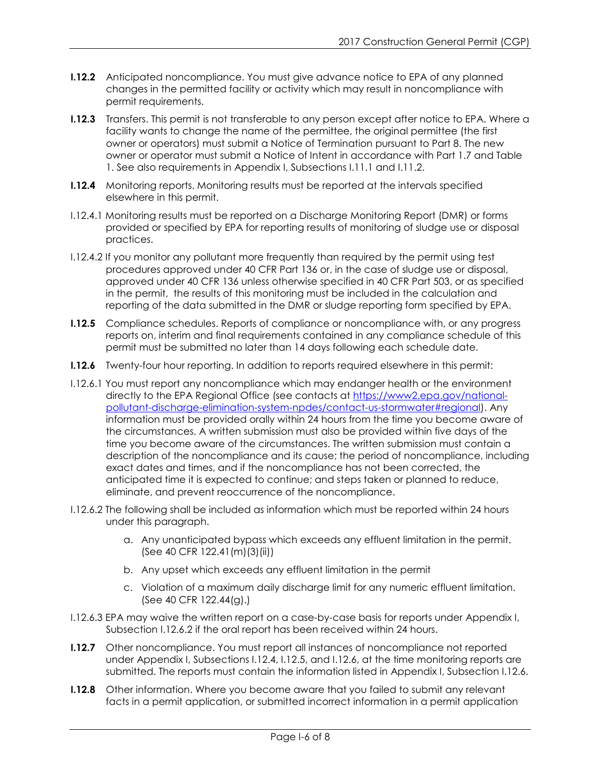- **I.12.2** Anticipated noncompliance. You must give advance notice to EPA of any planned changes in the permitted facility or activity which may result in noncompliance with permit requirements.
- **I.12.3** Transfers. This permit is not transferable to any person except after notice to EPA. Where a facility wants to change the name of the permittee, the original permittee (the first owner or operators) must submit a Notice of Termination pursuant to Part 8. The new owner or operator must submit a Notice of Intent in accordance with Part 1.7 and Table 1. See also requirements in Appendix I, Subsections I.11.1 and I.11.2.
- **I.12.4** Monitoring reports. Monitoring results must be reported at the intervals specified elsewhere in this permit.
- I.12.4.1 Monitoring results must be reported on a Discharge Monitoring Report (DMR) or forms provided or specified by EPA for reporting results of monitoring of sludge use or disposal practices.
- I.12.4.2 If you monitor any pollutant more frequently than required by the permit using test procedures approved under 40 CFR Part 136 or, in the case of sludge use or disposal, approved under 40 CFR 136 unless otherwise specified in 40 CFR Part 503, or as specified in the permit, the results of this monitoring must be included in the calculation and reporting of the data submitted in the DMR or sludge reporting form specified by EPA.
- **I.12.5** Compliance schedules. Reports of compliance or noncompliance with, or any progress reports on, interim and final requirements contained in any compliance schedule of this permit must be submitted no later than 14 days following each schedule date.
- **I.12.6** Twenty-four hour reporting. In addition to reports required elsewhere in this permit:
- I.12.6.1 You must report any noncompliance which may endanger health or the environment directly to the EPA Regional Office (see contacts at [https://www2.epa.gov/national](https://www2.epa.gov/national-pollutant-discharge-elimination-system-npdes/contact-us-stormwater#regional)[pollutant-discharge-elimination-system-npdes/contact-us-stormwater#regional\)](https://www2.epa.gov/national-pollutant-discharge-elimination-system-npdes/contact-us-stormwater#regional). Any information must be provided orally within 24 hours from the time you become aware of the circumstances. A written submission must also be provided within five days of the time you become aware of the circumstances. The written submission must contain a description of the noncompliance and its cause; the period of noncompliance, including exact dates and times, and if the noncompliance has not been corrected, the anticipated time it is expected to continue; and steps taken or planned to reduce, eliminate, and prevent reoccurrence of the noncompliance.
- I.12.6.2 The following shall be included as information which must be reported within 24 hours under this paragraph.
	- a. Any unanticipated bypass which exceeds any effluent limitation in the permit. (See 40 CFR 122.41(m)(3)(ii))
	- b. Any upset which exceeds any effluent limitation in the permit
	- c. Violation of a maximum daily discharge limit for any numeric effluent limitation. (See 40 CFR 122.44(g).)
- I.12.6.3 EPA may waive the written report on a case-by-case basis for reports under Appendix I, Subsection I.12.6.2 if the oral report has been received within 24 hours.
- **I.12.7** Other noncompliance. You must report all instances of noncompliance not reported under Appendix I, Subsections I.12.4, I.12.5, and I.12.6, at the time monitoring reports are submitted. The reports must contain the information listed in Appendix I, Subsection I.12.6.
- **I.12.8** Other information. Where you become aware that you failed to submit any relevant facts in a permit application, or submitted incorrect information in a permit application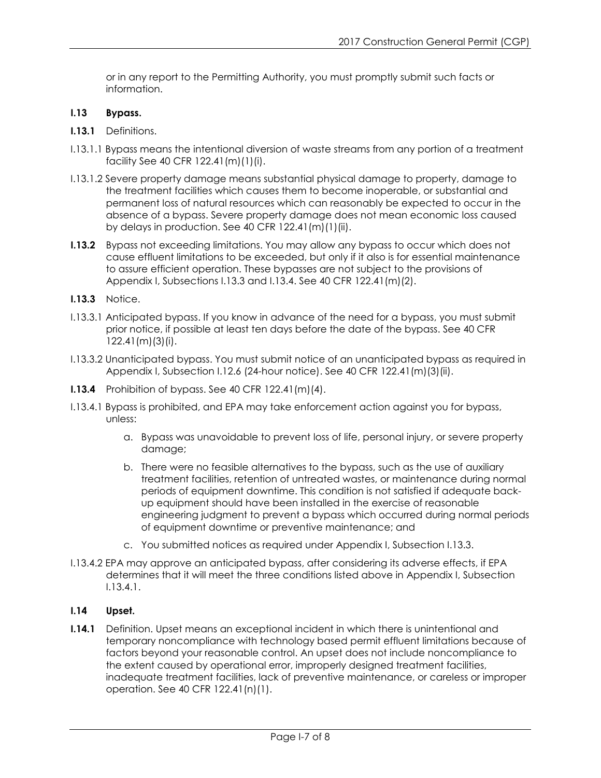or in any report to the Permitting Authority, you must promptly submit such facts or information.

#### **I.13 Bypass.**

- **I.13.1** Definitions.
- I.13.1.1 Bypass means the intentional diversion of waste streams from any portion of a treatment facility See 40 CFR 122.41(m)(1)(i).
- I.13.1.2 Severe property damage means substantial physical damage to property, damage to the treatment facilities which causes them to become inoperable, or substantial and permanent loss of natural resources which can reasonably be expected to occur in the absence of a bypass. Severe property damage does not mean economic loss caused by delays in production. See 40 CFR 122.41(m)(1)(ii).
- **I.13.2** Bypass not exceeding limitations. You may allow any bypass to occur which does not cause effluent limitations to be exceeded, but only if it also is for essential maintenance to assure efficient operation. These bypasses are not subject to the provisions of Appendix I, Subsections I.13.3 and I.13.4. See 40 CFR 122.41(m)(2).
- **I.13.3** Notice.
- I.13.3.1 Anticipated bypass. If you know in advance of the need for a bypass, you must submit prior notice, if possible at least ten days before the date of the bypass. See 40 CFR 122.41(m)(3)(i).
- I.13.3.2 Unanticipated bypass. You must submit notice of an unanticipated bypass as required in Appendix I, Subsection I.12.6 (24-hour notice). See 40 CFR 122.41(m)(3)(ii).
- **I.13.4** Prohibition of bypass. See 40 CFR 122.41(m)(4).
- I.13.4.1 Bypass is prohibited, and EPA may take enforcement action against you for bypass, unless:
	- a. Bypass was unavoidable to prevent loss of life, personal injury, or severe property damage;
	- b. There were no feasible alternatives to the bypass, such as the use of auxiliary treatment facilities, retention of untreated wastes, or maintenance during normal periods of equipment downtime. This condition is not satisfied if adequate backup equipment should have been installed in the exercise of reasonable engineering judgment to prevent a bypass which occurred during normal periods of equipment downtime or preventive maintenance; and
	- c. You submitted notices as required under Appendix I, Subsection I.13.3.
- I.13.4.2 EPA may approve an anticipated bypass, after considering its adverse effects, if EPA determines that it will meet the three conditions listed above in Appendix I, Subsection I.13.4.1.

### **I.14 Upset.**

**I.14.1** Definition. Upset means an exceptional incident in which there is unintentional and temporary noncompliance with technology based permit effluent limitations because of factors beyond your reasonable control. An upset does not include noncompliance to the extent caused by operational error, improperly designed treatment facilities, inadequate treatment facilities, lack of preventive maintenance, or careless or improper operation. See 40 CFR 122.41(n)(1).